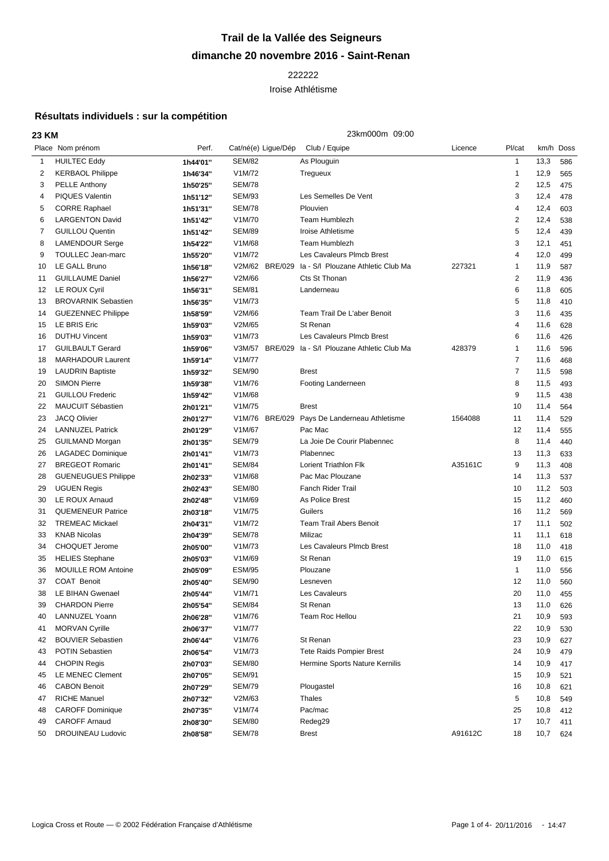## **Trail de la Vallée des Seigneurs dimanche 20 novembre 2016 - Saint-Renan**

## 

## Iroise Athlétisme

## **Résultats individuels : sur la compétition**

|                | 23km000m 09:00<br>23 KM    |          |                     |         |                                    |         |                |           |     |
|----------------|----------------------------|----------|---------------------|---------|------------------------------------|---------|----------------|-----------|-----|
|                | Place Nom prénom           | Perf.    | Cat/né(e) Ligue/Dép |         | Club / Equipe                      | Licence | Pl/cat         | km/h Doss |     |
| $\mathbf{1}$   | <b>HUILTEC Eddy</b>        | 1h44'01" | <b>SEM/82</b>       |         | As Plouguin                        |         | $\mathbf{1}$   | 13,3      | 586 |
| $\overline{2}$ | <b>KERBAOL Philippe</b>    | 1h46'34" | V1M/72              |         | Tregueux                           |         | 1              | 12,9      | 565 |
| 3              | <b>PELLE Anthony</b>       | 1h50'25" | <b>SEM/78</b>       |         |                                    |         | 2              | 12,5      | 475 |
| 4              | <b>PIQUES Valentin</b>     | 1h51'12" | <b>SEM/93</b>       |         | Les Semelles De Vent               |         | 3              | 12,4      | 478 |
| 5              | <b>CORRE Raphael</b>       | 1h51'31" | <b>SEM/78</b>       |         | Plouvien                           |         | 4              | 12,4      | 603 |
| 6              | <b>LARGENTON David</b>     | 1h51'42" | V1M/70              |         | <b>Team Humblezh</b>               |         | 2              | 12,4      | 538 |
| 7              | <b>GUILLOU Quentin</b>     | 1h51'42" | <b>SEM/89</b>       |         | Iroise Athletisme                  |         | 5              | 12,4      | 439 |
| 8              | <b>LAMENDOUR Serge</b>     | 1h54'22" | V1M/68              |         | <b>Team Humblezh</b>               |         | 3              | 12,1      | 451 |
| 9              | TOULLEC Jean-marc          | 1h55'20" | V1M/72              |         | Les Cavaleurs Plmcb Brest          |         | 4              | 12,0      | 499 |
| 10             | LE GALL Bruno              | 1h56'18" | V2M/62 BRE/029      |         | Ia - S/I Plouzane Athletic Club Ma | 227321  | 1              | 11,9      | 587 |
| 11             | <b>GUILLAUME Daniel</b>    | 1h56'27" | V2M/66              |         | Cts St Thonan                      |         | 2              | 11,9      | 436 |
| 12             | LE ROUX Cyril              | 1h56'31" | <b>SEM/81</b>       |         | Landerneau                         |         | 6              | 11,8      | 605 |
| 13             | <b>BROVARNIK Sebastien</b> | 1h56'35" | V1M/73              |         |                                    |         | 5              | 11,8      | 410 |
| 14             | <b>GUEZENNEC Philippe</b>  | 1h58'59" | V2M/66              |         | Team Trail De L'aber Benoit        |         | 3              | 11,6      | 435 |
| 15             | LE BRIS Eric               | 1h59'03" | V2M/65              |         | St Renan                           |         | 4              | 11,6      | 628 |
| 16             | <b>DUTHU Vincent</b>       | 1h59'03" | V1M/73              |         | Les Cavaleurs Plmcb Brest          |         | 6              | 11,6      | 426 |
| 17             | <b>GUILBAULT Gerard</b>    | 1h59'06" | V3M/57 BRE/029      |         | la - S/I Plouzane Athletic Club Ma | 428379  | 1              | 11,6      | 596 |
| 18             | <b>MARHADOUR Laurent</b>   | 1h59'14" | V1M/77              |         |                                    |         | 7              | 11,6      | 468 |
| 19             | <b>LAUDRIN Baptiste</b>    | 1h59'32" | <b>SEM/90</b>       |         | <b>Brest</b>                       |         | $\overline{7}$ | 11,5      | 598 |
| 20             | <b>SIMON Pierre</b>        | 1h59'38" | V1M/76              |         | Footing Landerneen                 |         | 8              | 11,5      | 493 |
| 21             | <b>GUILLOU Frederic</b>    | 1h59'42" | V1M/68              |         |                                    |         | 9              | 11,5      | 438 |
| 22             | <b>MAUCUIT Sébastien</b>   | 2h01'21" | V1M/75              |         | <b>Brest</b>                       |         | 10             | 11,4      | 564 |
| 23             | <b>JACQ Olivier</b>        | 2h01'27" | V1M/76              | BRE/029 | Pays De Landerneau Athletisme      | 1564088 | 11             | 11,4      | 529 |
| 24             | <b>LANNUZEL Patrick</b>    | 2h01'29" | V1M/67              |         | Pac Mac                            |         | 12             | 11,4      | 555 |
| 25             | <b>GUILMAND Morgan</b>     | 2h01'35" | <b>SEM/79</b>       |         | La Joie De Courir Plabennec        |         | 8              | 11,4      | 440 |
| 26             | <b>LAGADEC Dominique</b>   | 2h01'41" | V1M/73              |         | Plabennec                          |         | 13             | 11,3      | 633 |
| 27             | <b>BREGEOT Romaric</b>     | 2h01'41" | <b>SEM/84</b>       |         | <b>Lorient Triathlon Flk</b>       | A35161C | 9              | 11,3      | 408 |
| 28             | <b>GUENEUGUES Philippe</b> | 2h02'33" | V1M/68              |         | Pac Mac Plouzane                   |         | 14             | 11,3      | 537 |
| 29             | <b>UGUEN Regis</b>         | 2h02'43" | <b>SEM/80</b>       |         | <b>Fanch Rider Trail</b>           |         | 10             | 11,2      | 503 |
| 30             | LE ROUX Arnaud             | 2h02'48" | V1M/69              |         | As Police Brest                    |         | 15             | 11,2      | 460 |
| 31             | <b>QUEMENEUR Patrice</b>   | 2h03'18" | V1M/75              |         | Guilers                            |         | 16             | 11,2      | 569 |
| 32             | <b>TREMEAC Mickael</b>     | 2h04'31" | V1M/72              |         | <b>Team Trail Abers Benoit</b>     |         | 17             | 11,1      | 502 |
| 33             | <b>KNAB Nicolas</b>        | 2h04'39" | <b>SEM/78</b>       |         | Milizac                            |         | 11             | 11,1      | 618 |
| 34             | <b>CHOQUET Jerome</b>      | 2h05'00" | V1M/73              |         | Les Cavaleurs Plmcb Brest          |         | 18             | 11,0      | 418 |
| 35             | <b>HELIES Stephane</b>     | 2h05'03" | V1M/69              |         | St Renan                           |         | 19             | 11,0      | 615 |
| 36             | <b>MOUILLE ROM Antoine</b> | 2h05'09" | <b>ESM/95</b>       |         | Plouzane                           |         | $\mathbf{1}$   | 11,0      | 556 |
| 37             | <b>COAT Benoit</b>         | 2h05'40" | <b>SEM/90</b>       |         | Lesneven                           |         | 12             | 11,0      | 560 |
| 38             | LE BIHAN Gwenael           | 2h05'44" | V1M/71              |         | Les Cavaleurs                      |         | 20             | 11,0      | 455 |
| 39             | <b>CHARDON Pierre</b>      | 2h05'54" | <b>SEM/84</b>       |         | St Renan                           |         | 13             | 11,0      | 626 |
| 40             | LANNUZEL Yoann             | 2h06'28" | V1M/76              |         | Team Roc Hellou                    |         | 21             | 10,9      | 593 |
| 41             | <b>MORVAN Cyrille</b>      | 2h06'37" | V1M/77              |         |                                    |         | 22             | 10,9      | 530 |
| 42             | <b>BOUVIER Sebastien</b>   | 2h06'44" | V1M/76              |         | St Renan                           |         | 23             | 10,9      | 627 |
| 43             | <b>POTIN Sebastien</b>     | 2h06'54" | V1M/73              |         | <b>Tete Raids Pompier Brest</b>    |         | 24             | 10,9      | 479 |
| 44             | <b>CHOPIN Regis</b>        | 2h07'03" | <b>SEM/80</b>       |         | Hermine Sports Nature Kernilis     |         | 14             | 10,9      | 417 |
| 45             | <b>LE MENEC Clement</b>    | 2h07'05" | <b>SEM/91</b>       |         |                                    |         | 15             | 10,9      | 521 |
| 46             | <b>CABON Benoit</b>        | 2h07'29" | <b>SEM/79</b>       |         | Plougastel                         |         | 16             | 10,8      | 621 |
| 47             | <b>RICHE Manuel</b>        | 2h07'32" | V2M/63              |         | Thales                             |         | 5              | 10,8      | 549 |
| 48             | <b>CAROFF Dominique</b>    | 2h07'35" | V1M/74              |         | Pac/mac                            |         | 25             | 10,8      | 412 |
| 49             | <b>CAROFF Arnaud</b>       | 2h08'30" | <b>SEM/80</b>       |         | Redeg29                            |         | 17             | 10,7      | 411 |
| 50             | <b>DROUINEAU Ludovic</b>   | 2h08'58" | <b>SEM/78</b>       |         | <b>Brest</b>                       | A91612C | 18             | 10,7      | 624 |
|                |                            |          |                     |         |                                    |         |                |           |     |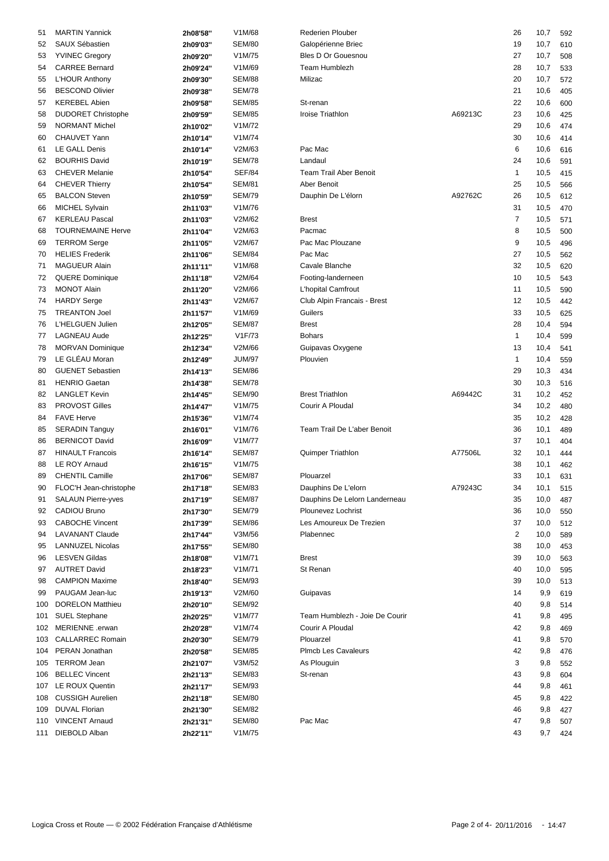| 51  | <b>MARTIN Yannick</b>                  | 2h08'58" | V1M/68        | <b>Rederien Plouber</b>        |         | 26             | 10,7 | 592        |
|-----|----------------------------------------|----------|---------------|--------------------------------|---------|----------------|------|------------|
| 52  | SAUX Sébastien                         | 2h09'03" | <b>SEM/80</b> | Galopérienne Briec             |         | 19             | 10,7 | 610        |
| 53  | <b>YVINEC Gregory</b>                  | 2h09'20" | V1M/75        | Bles D Or Gouesnou             |         | 27             | 10,7 | 508        |
| 54  | <b>CARREE Bernard</b>                  | 2h09'24" | V1M/69        | <b>Team Humblezh</b>           |         | 28             | 10,7 | 533        |
| 55  | L'HOUR Anthony                         | 2h09'30" | <b>SEM/88</b> | Milizac                        |         | 20             | 10,7 | 572        |
| 56  | <b>BESCOND Olivier</b>                 | 2h09'38" | <b>SEM/78</b> |                                |         | 21             | 10,6 | 405        |
| 57  | <b>KEREBEL Abien</b>                   | 2h09'58" | <b>SEM/85</b> | St-renan                       |         | 22             | 10,6 | 600        |
| 58  | <b>DUDORET Christophe</b>              |          | <b>SEM/85</b> | Iroise Triathlon               | A69213C | 23             | 10,6 |            |
| 59  | <b>NORMANT Michel</b>                  | 2h09'59" | V1M/72        |                                |         | 29             | 10,6 | 425<br>474 |
|     |                                        | 2h10'02" |               |                                |         |                |      |            |
| 60  | <b>CHAUVET Yann</b>                    | 2h10'14" | V1M/74        |                                |         | 30             | 10,6 | 414        |
| 61  | LE GALL Denis                          | 2h10'14" | V2M/63        | Pac Mac                        |         | 6              | 10,6 | 616        |
| 62  | <b>BOURHIS David</b>                   | 2h10'19" | <b>SEM/78</b> | Landaul                        |         | 24             | 10,6 | 591        |
| 63  | <b>CHEVER Melanie</b>                  | 2h10'54" | <b>SEF/84</b> | <b>Team Trail Aber Benoit</b>  |         | 1              | 10,5 | 415        |
| 64  | <b>CHEVER Thierry</b>                  | 2h10'54" | <b>SEM/81</b> | Aber Benoit                    |         | 25             | 10,5 | 566        |
| 65  | <b>BALCON Steven</b>                   | 2h10'59" | <b>SEM/79</b> | Dauphin De L'élorn             | A92762C | 26             | 10,5 | 612        |
| 66  | <b>MICHEL Sylvain</b>                  | 2h11'03" | V1M/76        |                                |         | 31             | 10,5 | 470        |
| 67  | <b>KERLEAU Pascal</b>                  | 2h11'03" | V2M/62        | <b>Brest</b>                   |         | $\overline{7}$ | 10,5 | 571        |
| 68  | <b>TOURNEMAINE Herve</b>               | 2h11'04" | V2M/63        | Pacmac                         |         | 8              | 10,5 | 500        |
| 69  | <b>TERROM Serge</b>                    | 2h11'05" | V2M/67        | Pac Mac Plouzane               |         | 9              | 10,5 | 496        |
| 70  | <b>HELIES Frederik</b>                 | 2h11'06" | <b>SEM/84</b> | Pac Mac                        |         | 27             | 10,5 | 562        |
| 71  | <b>MAGUEUR Alain</b>                   | 2h11'11" | V1M/68        | Cavale Blanche                 |         | 32             | 10,5 | 620        |
| 72  | <b>QUERE Dominique</b>                 | 2h11'18" | V2M/64        | Footing-landerneen             |         | 10             | 10,5 | 543        |
| 73  | <b>MONOT Alain</b>                     | 2h11'20" | V2M/66        | L'hopital Camfrout             |         | 11             | 10,5 | 590        |
| 74  | <b>HARDY Serge</b>                     | 2h11'43" | V2M/67        | Club Alpin Francais - Brest    |         | 12             | 10,5 | 442        |
|     | <b>TREANTON Joel</b>                   |          |               |                                |         | 33             | 10,5 |            |
| 75  |                                        | 2h11'57" | V1M/69        | Guilers                        |         |                |      | 625        |
| 76  | L'HELGUEN Julien                       | 2h12'05" | <b>SEM/87</b> | <b>Brest</b>                   |         | 28             | 10,4 | 594        |
| 77  | <b>LAGNEAU Aude</b>                    | 2h12'25" | V1F/73        | <b>Bohars</b>                  |         | 1              | 10,4 | 599        |
| 78  | <b>MORVAN Dominique</b>                | 2h12'34" | V2M/66        | Guipavas Oxygene               |         | 13             | 10,4 | 541        |
| 79  | LE GLÉAU Moran                         | 2h12'49" | <b>JUM/97</b> | Plouvien                       |         | $\mathbf{1}$   | 10,4 | 559        |
| 80  | <b>GUENET Sebastien</b>                | 2h14'13" | <b>SEM/86</b> |                                |         | 29             | 10,3 | 434        |
| 81  | <b>HENRIO Gaetan</b>                   | 2h14'38" | <b>SEM/78</b> |                                |         | 30             | 10,3 | 516        |
| 82  | <b>LANGLET Kevin</b>                   | 2h14'45" | <b>SEM/90</b> | <b>Brest Triathlon</b>         | A69442C | 31             | 10,2 | 452        |
| 83  | <b>PROVOST Gilles</b>                  | 2h14'47" | V1M/75        | Courir A Ploudal               |         | 34             | 10,2 | 480        |
| 84  | <b>FAVE Herve</b>                      | 2h15'36" | V1M/74        |                                |         | 35             | 10,2 | 428        |
| 85  | <b>SERADIN Tanguy</b>                  | 2h16'01" | V1M/76        | Team Trail De L'aber Benoit    |         | 36             | 10,1 | 489        |
| 86  | <b>BERNICOT David</b>                  | 2h16'09" | V1M/77        |                                |         | 37             | 10,1 | 404        |
| 87  | <b>HINAULT Francois</b>                | 2h16'14" | <b>SEM/87</b> | <b>Quimper Triathlon</b>       | A77506L | 32             | 10,1 | 444        |
| 88  | LE ROY Arnaud                          | 2h16'15" | V1M/75        |                                |         | 38             | 10,1 | 462        |
| 89  | <b>CHENTIL Camille</b>                 | 2h17'06" | <b>SEM/87</b> | Plouarzel                      |         | 33             | 10,1 | 631        |
| 90  | FLOC'H Jean-christophe                 | 2h17'18" | <b>SEM/83</b> | Dauphins De L'elorn            | A79243C | 34             | 10,1 | 515        |
| 91  | <b>SALAUN Pierre-yves</b>              |          | <b>SEM/87</b> | Dauphins De Lelorn Landerneau  |         | 35             | 10,0 | 487        |
|     |                                        | 2h17'19" |               |                                |         |                |      |            |
| 92  | CADIOU Bruno<br><b>CABOCHE Vincent</b> | 2h17'30" | <b>SEM/79</b> | Plounevez Lochrist             |         | 36             | 10,0 | 550        |
| 93  |                                        | 2h17'39" | <b>SEM/86</b> | Les Amoureux De Trezien        |         | 37             | 10,0 | 512        |
| 94  | <b>LAVANANT Claude</b>                 | 2h17'44" | V3M/56        | Plabennec                      |         | 2              | 10,0 | 589        |
| 95  | <b>LANNUZEL Nicolas</b>                | 2h17'55" | SEM/80        |                                |         | 38             | 10,0 | 453        |
| 96  | <b>LESVEN Gildas</b>                   | 2h18'08" | V1M/71        | <b>Brest</b>                   |         | 39             | 10,0 | 563        |
| 97  | <b>AUTRET David</b>                    | 2h18'23" | V1M/71        | St Renan                       |         | 40             | 10,0 | 595        |
| 98  | <b>CAMPION Maxime</b>                  | 2h18'40" | <b>SEM/93</b> |                                |         | 39             | 10,0 | 513        |
| 99  | PAUGAM Jean-luc                        | 2h19'13" | V2M/60        | Guipavas                       |         | 14             | 9,9  | 619        |
| 100 | <b>DORELON Matthieu</b>                | 2h20'10" | <b>SEM/92</b> |                                |         | 40             | 9,8  | 514        |
| 101 | <b>SUEL Stephane</b>                   | 2h20'25" | V1M/77        | Team Humblezh - Joie De Courir |         | 41             | 9,8  | 495        |
|     | 102 MERIENNE .erwan                    | 2h20'28" | V1M/74        | Courir A Ploudal               |         | 42             | 9,8  | 469        |
|     | 103 CALLARREC Romain                   | 2h20'30" | <b>SEM/79</b> | Plouarzel                      |         | 41             | 9,8  | 570        |
|     | 104 PERAN Jonathan                     | 2h20'58" | <b>SEM/85</b> | <b>PImcb Les Cavaleurs</b>     |         | 42             | 9,8  | 476        |
|     | 105 TERROM Jean                        | 2h21'07" | V3M/52        | As Plouguin                    |         | 3              | 9,8  | 552        |
|     | 106 BELLEC Vincent                     | 2h21'13" | <b>SEM/83</b> | St-renan                       |         | 43             | 9,8  | 604        |
|     | 107 LE ROUX Quentin                    | 2h21'17" | SEM/93        |                                |         | 44             | 9,8  | 461        |
|     | 108 CUSSIGH Aurelien                   |          | SEM/80        |                                |         | 45             | 9,8  | 422        |
|     | 109 DUVAL Florian                      | 2h21'18" | <b>SEM/82</b> |                                |         | 46             |      |            |
|     |                                        | 2h21'30" |               |                                |         |                | 9,8  | 427        |
|     | 110 VINCENT Arnaud                     | 2h21'31" | SEM/80        | Pac Mac                        |         | 47             | 9,8  | 507        |
|     | 111 DIEBOLD Alban                      | 2h22'11" | V1M/75        |                                |         | 43             | 9,7  | 424        |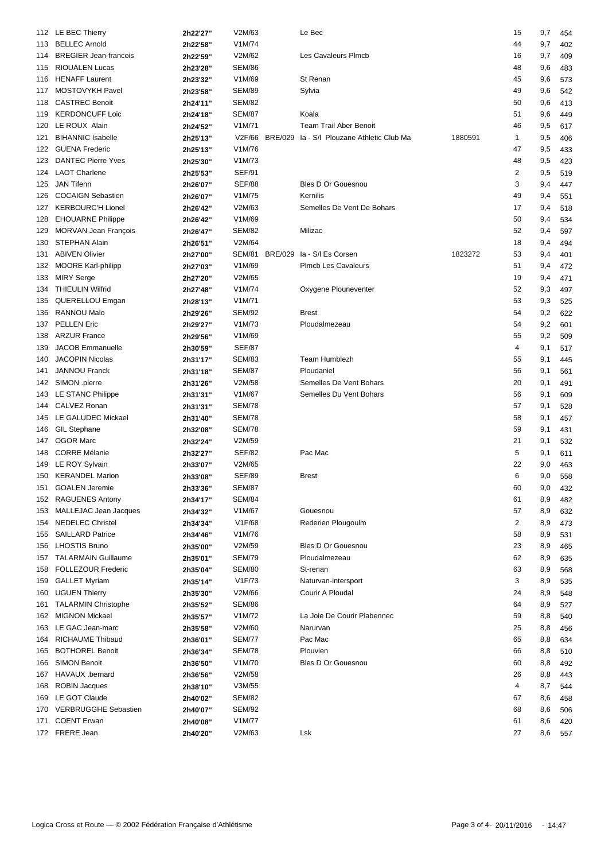|     | 112 LE BEC Thierry           | 2h22'27" | V2M/63                         | Le Bec                                            |         | 15             | 9,7     | 454 |
|-----|------------------------------|----------|--------------------------------|---------------------------------------------------|---------|----------------|---------|-----|
| 113 | <b>BELLEC Arnold</b>         | 2h22'58" | V1M/74                         |                                                   |         | 44             | 9,7     | 402 |
| 114 | <b>BREGIER Jean-francois</b> | 2h22'59" | V2M/62                         | Les Cavaleurs Plmcb                               |         | 16             | 9,7     | 409 |
| 115 | <b>RIOUALEN Lucas</b>        | 2h23'28" | <b>SEM/86</b>                  |                                                   |         | 48             | 9,6     | 483 |
| 116 | <b>HENAFF Laurent</b>        | 2h23'32" | V1M/69                         | St Renan                                          |         | 45             | 9,6     | 573 |
| 117 | MOSTOVYKH Pavel              | 2h23'58" | <b>SEM/89</b>                  | Sylvia                                            |         | 49             | 9,6     | 542 |
| 118 | <b>CASTREC Benoit</b>        | 2h24'11" | <b>SEM/82</b>                  |                                                   |         | 50             | 9,6     | 413 |
| 119 | <b>KERDONCUFF Loic</b>       | 2h24'18" | <b>SEM/87</b>                  | Koala                                             |         | 51             | 9,6     | 449 |
| 120 | LE ROUX Alain                | 2h24'52" | V1M/71                         | <b>Team Trail Aber Benoit</b>                     |         | 46             | 9,5     | 617 |
| 121 | <b>BIHANNIC Isabelle</b>     | 2h25'13" |                                | V2F/66 BRE/029 Ia - S/I Plouzane Athletic Club Ma | 1880591 | $\mathbf{1}$   | 9,5     | 406 |
| 122 | <b>GUENA Frederic</b>        | 2h25'13" | V1M/76                         |                                                   |         | 47             | 9,5     | 433 |
|     | <b>DANTEC Pierre Yves</b>    | 2h25'30" | V1M/73                         |                                                   |         | 48             |         |     |
| 123 | <b>LAOT Charlene</b>         |          |                                |                                                   |         |                | 9,5     | 423 |
| 124 | <b>JAN Tifenn</b>            | 2h25'53" | <b>SEF/91</b><br><b>SEF/88</b> | <b>Bles D Or Gouesnou</b>                         |         | 2<br>3         | 9,5     | 519 |
| 125 |                              | 2h26'07" |                                |                                                   |         |                | 9,4     | 447 |
| 126 | <b>COCAIGN Sebastien</b>     | 2h26'07" | V1M/75                         | Kernilis                                          |         | 49             | 9,4     | 551 |
| 127 | <b>KERBOURC'H Lionel</b>     | 2h26'42" | V2M/63                         | Semelles De Vent De Bohars                        |         | 17             | 9,4     | 518 |
| 128 | <b>EHOUARNE Philippe</b>     | 2h26'42" | V1M/69                         |                                                   |         | 50             | 9,4     | 534 |
| 129 | <b>MORVAN Jean François</b>  | 2h26'47" | <b>SEM/82</b>                  | Milizac                                           |         | 52             | 9,4     | 597 |
| 130 | STEPHAN Alain                | 2h26'51" | V2M/64                         |                                                   |         | 18             | 9,4     | 494 |
| 131 | <b>ABIVEN Olivier</b>        | 2h27'00" |                                | SEM/81 BRE/029 la - S/l Es Corsen                 | 1823272 | 53             | 9,4     | 401 |
| 132 | <b>MOORE Karl-philipp</b>    | 2h27'03" | V1M/69                         | <b>PImcb Les Cavaleurs</b>                        |         | 51             | 9,4     | 472 |
| 133 | <b>MIRY Serge</b>            | 2h27'20" | V2M/65                         |                                                   |         | 19             | 9,4     | 471 |
| 134 | <b>THIEULIN Wilfrid</b>      | 2h27'48" | V1M/74                         | Oxygene Plouneventer                              |         | 52             | 9,3     | 497 |
| 135 | QUERELLOU Emgan              | 2h28'13" | V1M/71                         |                                                   |         | 53             | 9,3     | 525 |
| 136 | <b>RANNOU Malo</b>           | 2h29'26" | <b>SEM/92</b>                  | <b>Brest</b>                                      |         | 54             | 9,2     | 622 |
| 137 | <b>PELLEN Eric</b>           | 2h29'27" | V1M/73                         | Ploudalmezeau                                     |         | 54             | 9,2     | 601 |
| 138 | <b>ARZUR France</b>          | 2h29'56" | V1M/69                         |                                                   |         | 55             | 9,2     | 509 |
| 139 | <b>JACOB Emmanuelle</b>      | 2h30'59" | <b>SEF/87</b>                  |                                                   |         | 4              | 9,1     | 517 |
| 140 | <b>JACOPIN Nicolas</b>       | 2h31'17" | <b>SEM/83</b>                  | <b>Team Humblezh</b>                              |         | 55             | 9,1     | 445 |
| 141 | <b>JANNOU Franck</b>         | 2h31'18" | <b>SEM/87</b>                  | Ploudaniel                                        |         | 56             | 9,1     | 561 |
| 142 | SIMON .pierre                | 2h31'26" | V2M/58                         | Semelles De Vent Bohars                           |         | 20             | 9,1     | 491 |
| 143 | LE STANC Philippe            | 2h31'31" | V1M/67                         | Semelles Du Vent Bohars                           |         | 56             | 9,1     | 609 |
| 144 | CALVEZ Ronan                 | 2h31'31" | <b>SEM/78</b>                  |                                                   |         | 57             | 9,1     | 528 |
| 145 | LE GALUDEC Mickael           |          | <b>SEM/78</b>                  |                                                   |         | 58             | 9,1     | 457 |
|     | <b>GIL Stephane</b>          | 2h31'40" | <b>SEM/78</b>                  |                                                   |         | 59             |         |     |
| 146 |                              | 2h32'08" |                                |                                                   |         |                | 9,1     | 431 |
| 147 | <b>OGOR Marc</b>             | 2h32'24" | V2M/59                         |                                                   |         | 21             | 9,1     | 532 |
| 148 | <b>CORRE Mélanie</b>         | 2h32'27" | <b>SEF/82</b>                  | Pac Mac                                           |         | 5              | 9,1     | 611 |
| 149 | LE ROY Sylvain               | 2h33'07" | V2M/65                         |                                                   |         | 22             | 9,0     | 463 |
|     | 150 KERANDEL Marion          | 2h33'08" | <b>SEF/89</b>                  | <b>Brest</b>                                      |         | 6              | 9,0     | 558 |
|     | 151 GOALEN Jeremie           | 2h33'36" | <b>SEM/87</b>                  |                                                   |         | 60             | 9,0 432 |     |
| 152 | <b>RAGUENES Antony</b>       | 2h34'17" | <b>SEM/84</b>                  |                                                   |         | 61             | 8,9     | 482 |
| 153 | MALLEJAC Jean Jacques        | 2h34'32" | V1M/67                         | Gouesnou                                          |         | 57             | 8,9     | 632 |
| 154 | <b>NEDELEC Christel</b>      | 2h34'34" | V1F/68                         | Rederien Plougoulm                                |         | $\overline{2}$ | 8,9     | 473 |
| 155 | <b>SAILLARD Patrice</b>      | 2h34'46" | V1M/76                         |                                                   |         | 58             | 8,9     | 531 |
| 156 | <b>LHOSTIS Bruno</b>         | 2h35'00" | V2M/59                         | <b>Bles D Or Gouesnou</b>                         |         | 23             | 8,9     | 465 |
| 157 | <b>TALARMAIN Guillaume</b>   | 2h35'01" | <b>SEM/79</b>                  | Ploudalmezeau                                     |         | 62             | 8,9     | 635 |
| 158 | <b>FOLLEZOUR Frederic</b>    | 2h35'04" | <b>SEM/80</b>                  | St-renan                                          |         | 63             | 8,9     | 568 |
| 159 | <b>GALLET Myriam</b>         | 2h35'14" | V1F/73                         | Naturvan-intersport                               |         | 3              | 8,9     | 535 |
| 160 | <b>UGUEN Thierry</b>         | 2h35'30" | V2M/66                         | Courir A Ploudal                                  |         | 24             | 8,9     | 548 |
| 161 | <b>TALARMIN Christophe</b>   | 2h35'52" | <b>SEM/86</b>                  |                                                   |         | 64             | 8,9     | 527 |
| 162 | <b>MIGNON Mickael</b>        | 2h35'57" | V1M/72                         | La Joie De Courir Plabennec                       |         | 59             | 8,8     | 540 |
| 163 | LE GAC Jean-marc             | 2h35'58" | V2M/60                         | Narurvan                                          |         | 25             | 8,8     | 456 |
| 164 | RICHAUME Thibaud             | 2h36'01" | <b>SEM/77</b>                  | Pac Mac                                           |         | 65             | 8,8     | 634 |
| 165 | <b>BOTHOREL Benoit</b>       | 2h36'34" | <b>SEM/78</b>                  | Plouvien                                          |         | 66             | 8,8     | 510 |
| 166 | <b>SIMON Benoit</b>          | 2h36'50" | V1M/70                         | <b>Bles D Or Gouesnou</b>                         |         | 60             | 8,8     | 492 |
|     | HAVAUX .bernard              |          | V2M/58                         |                                                   |         | 26             |         |     |
| 167 | ROBIN Jacques                | 2h36'56" | V3M/55                         |                                                   |         |                | 8,8     | 443 |
| 168 |                              | 2h38'10" |                                |                                                   |         | 4              | 8,7     | 544 |
| 169 | LE GOT Claude                | 2h40'02" | <b>SEM/82</b>                  |                                                   |         | 67             | 8,6     | 458 |
| 170 | <b>VERBRUGGHE Sebastien</b>  | 2h40'07" | <b>SEM/92</b>                  |                                                   |         | 68             | 8,6     | 506 |
| 171 | <b>COENT Erwan</b>           | 2h40'08" | V1M/77                         |                                                   |         | 61             | 8,6     | 420 |
|     | 172 FRERE Jean               | 2h40'20" | V2M/63                         | Lsk                                               |         | 27             | 8,6     | 557 |